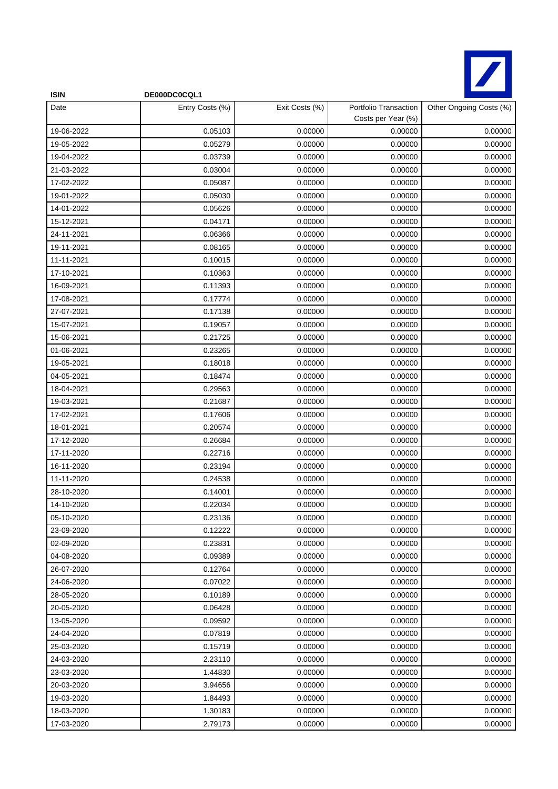

| <b>ISIN</b> | DE000DC0CQL1    |                |                                             |                         |
|-------------|-----------------|----------------|---------------------------------------------|-------------------------|
| Date        | Entry Costs (%) | Exit Costs (%) | Portfolio Transaction<br>Costs per Year (%) | Other Ongoing Costs (%) |
| 19-06-2022  | 0.05103         | 0.00000        | 0.00000                                     | 0.00000                 |
| 19-05-2022  | 0.05279         | 0.00000        | 0.00000                                     | 0.00000                 |
| 19-04-2022  | 0.03739         | 0.00000        | 0.00000                                     | 0.00000                 |
| 21-03-2022  | 0.03004         | 0.00000        | 0.00000                                     | 0.00000                 |
| 17-02-2022  | 0.05087         | 0.00000        | 0.00000                                     | 0.00000                 |
| 19-01-2022  | 0.05030         | 0.00000        | 0.00000                                     | 0.00000                 |
| 14-01-2022  | 0.05626         | 0.00000        | 0.00000                                     | 0.00000                 |
| 15-12-2021  | 0.04171         | 0.00000        | 0.00000                                     | 0.00000                 |
| 24-11-2021  | 0.06366         | 0.00000        | 0.00000                                     | 0.00000                 |
| 19-11-2021  | 0.08165         | 0.00000        | 0.00000                                     | 0.00000                 |
| 11-11-2021  | 0.10015         | 0.00000        | 0.00000                                     | 0.00000                 |
| 17-10-2021  | 0.10363         | 0.00000        | 0.00000                                     | 0.00000                 |
| 16-09-2021  | 0.11393         | 0.00000        | 0.00000                                     | 0.00000                 |
| 17-08-2021  | 0.17774         | 0.00000        | 0.00000                                     | 0.00000                 |
| 27-07-2021  | 0.17138         | 0.00000        | 0.00000                                     | 0.00000                 |
| 15-07-2021  | 0.19057         | 0.00000        | 0.00000                                     | 0.00000                 |
| 15-06-2021  | 0.21725         | 0.00000        | 0.00000                                     | 0.00000                 |
| 01-06-2021  | 0.23265         | 0.00000        | 0.00000                                     | 0.00000                 |
| 19-05-2021  | 0.18018         | 0.00000        | 0.00000                                     | 0.00000                 |
| 04-05-2021  | 0.18474         | 0.00000        | 0.00000                                     | 0.00000                 |
| 18-04-2021  | 0.29563         | 0.00000        | 0.00000                                     | 0.00000                 |
| 19-03-2021  | 0.21687         | 0.00000        | 0.00000                                     | 0.00000                 |
| 17-02-2021  | 0.17606         | 0.00000        | 0.00000                                     | 0.00000                 |
| 18-01-2021  | 0.20574         | 0.00000        | 0.00000                                     | 0.00000                 |
| 17-12-2020  | 0.26684         | 0.00000        | 0.00000                                     | 0.00000                 |
| 17-11-2020  | 0.22716         | 0.00000        | 0.00000                                     | 0.00000                 |
| 16-11-2020  | 0.23194         | 0.00000        | 0.00000                                     | 0.00000                 |
| 11-11-2020  | 0.24538         | 0.00000        | 0.00000                                     | 0.00000                 |
| 28-10-2020  | 0.14001         | 0.00000        | 0.00000                                     | 0.00000                 |
| 14-10-2020  | 0.22034         | 0.00000        | 0.00000                                     | 0.00000                 |
| 05-10-2020  | 0.23136         | 0.00000        | 0.00000                                     | 0.00000                 |
| 23-09-2020  | 0.12222         | 0.00000        | 0.00000                                     | 0.00000                 |
| 02-09-2020  | 0.23831         | 0.00000        | 0.00000                                     | 0.00000                 |
| 04-08-2020  | 0.09389         | 0.00000        | 0.00000                                     | 0.00000                 |
| 26-07-2020  | 0.12764         | 0.00000        | 0.00000                                     | 0.00000                 |
| 24-06-2020  | 0.07022         | 0.00000        | 0.00000                                     | 0.00000                 |
| 28-05-2020  | 0.10189         | 0.00000        | 0.00000                                     | 0.00000                 |
| 20-05-2020  | 0.06428         | 0.00000        | 0.00000                                     | 0.00000                 |
| 13-05-2020  | 0.09592         | 0.00000        | 0.00000                                     | 0.00000                 |
| 24-04-2020  | 0.07819         | 0.00000        | 0.00000                                     | 0.00000                 |
| 25-03-2020  | 0.15719         | 0.00000        | 0.00000                                     | 0.00000                 |
| 24-03-2020  | 2.23110         | 0.00000        | 0.00000                                     | 0.00000                 |
| 23-03-2020  | 1.44830         | 0.00000        | 0.00000                                     | 0.00000                 |
| 20-03-2020  | 3.94656         | 0.00000        | 0.00000                                     | 0.00000                 |
| 19-03-2020  | 1.84493         | 0.00000        | 0.00000                                     | 0.00000                 |
| 18-03-2020  | 1.30183         | 0.00000        | 0.00000                                     | 0.00000                 |
| 17-03-2020  | 2.79173         | 0.00000        | 0.00000                                     | 0.00000                 |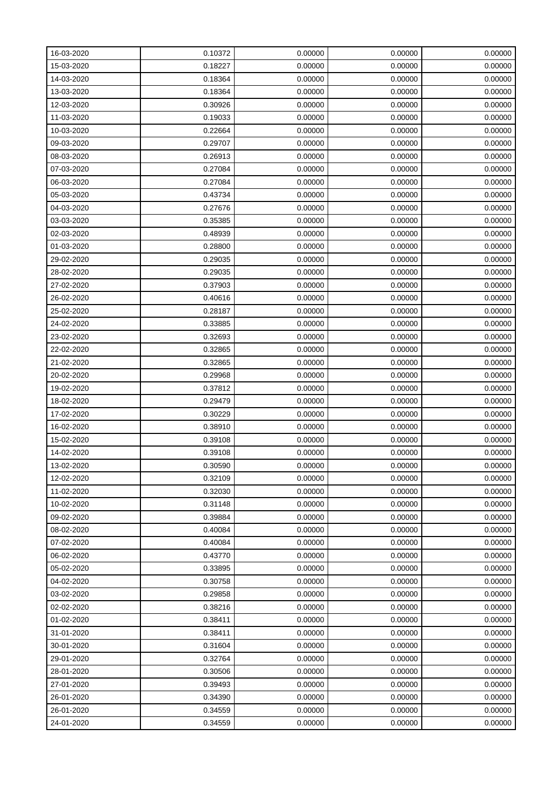| 16-03-2020 | 0.10372 | 0.00000 | 0.00000 | 0.00000 |
|------------|---------|---------|---------|---------|
| 15-03-2020 | 0.18227 | 0.00000 | 0.00000 | 0.00000 |
| 14-03-2020 | 0.18364 | 0.00000 | 0.00000 | 0.00000 |
| 13-03-2020 | 0.18364 | 0.00000 | 0.00000 | 0.00000 |
| 12-03-2020 | 0.30926 | 0.00000 | 0.00000 | 0.00000 |
| 11-03-2020 | 0.19033 | 0.00000 | 0.00000 | 0.00000 |
| 10-03-2020 | 0.22664 | 0.00000 | 0.00000 | 0.00000 |
| 09-03-2020 | 0.29707 | 0.00000 | 0.00000 | 0.00000 |
| 08-03-2020 | 0.26913 | 0.00000 | 0.00000 | 0.00000 |
| 07-03-2020 | 0.27084 | 0.00000 | 0.00000 | 0.00000 |
| 06-03-2020 | 0.27084 | 0.00000 | 0.00000 | 0.00000 |
| 05-03-2020 | 0.43734 | 0.00000 | 0.00000 | 0.00000 |
| 04-03-2020 | 0.27676 | 0.00000 | 0.00000 | 0.00000 |
| 03-03-2020 | 0.35385 | 0.00000 | 0.00000 | 0.00000 |
| 02-03-2020 | 0.48939 | 0.00000 | 0.00000 | 0.00000 |
| 01-03-2020 | 0.28800 | 0.00000 | 0.00000 | 0.00000 |
| 29-02-2020 | 0.29035 | 0.00000 | 0.00000 | 0.00000 |
| 28-02-2020 | 0.29035 | 0.00000 | 0.00000 | 0.00000 |
| 27-02-2020 | 0.37903 | 0.00000 | 0.00000 | 0.00000 |
| 26-02-2020 | 0.40616 | 0.00000 | 0.00000 | 0.00000 |
| 25-02-2020 | 0.28187 | 0.00000 | 0.00000 | 0.00000 |
| 24-02-2020 | 0.33885 | 0.00000 | 0.00000 | 0.00000 |
| 23-02-2020 | 0.32693 | 0.00000 | 0.00000 | 0.00000 |
| 22-02-2020 | 0.32865 | 0.00000 | 0.00000 | 0.00000 |
| 21-02-2020 | 0.32865 | 0.00000 | 0.00000 | 0.00000 |
| 20-02-2020 | 0.29968 | 0.00000 | 0.00000 | 0.00000 |
| 19-02-2020 | 0.37812 | 0.00000 | 0.00000 | 0.00000 |
| 18-02-2020 | 0.29479 | 0.00000 | 0.00000 | 0.00000 |
| 17-02-2020 | 0.30229 | 0.00000 | 0.00000 | 0.00000 |
| 16-02-2020 | 0.38910 | 0.00000 | 0.00000 | 0.00000 |
| 15-02-2020 | 0.39108 | 0.00000 | 0.00000 | 0.00000 |
| 14-02-2020 | 0.39108 | 0.00000 | 0.00000 | 0.00000 |
| 13-02-2020 | 0.30590 | 0.00000 | 0.00000 | 0.00000 |
| 12-02-2020 | 0.32109 | 0.00000 | 0.00000 | 0.00000 |
| 11-02-2020 | 0.32030 | 0.00000 | 0.00000 | 0.00000 |
| 10-02-2020 | 0.31148 | 0.00000 | 0.00000 | 0.00000 |
| 09-02-2020 | 0.39884 | 0.00000 | 0.00000 | 0.00000 |
| 08-02-2020 | 0.40084 | 0.00000 | 0.00000 | 0.00000 |
| 07-02-2020 | 0.40084 | 0.00000 | 0.00000 | 0.00000 |
| 06-02-2020 | 0.43770 | 0.00000 | 0.00000 | 0.00000 |
| 05-02-2020 | 0.33895 | 0.00000 | 0.00000 | 0.00000 |
| 04-02-2020 | 0.30758 | 0.00000 | 0.00000 | 0.00000 |
| 03-02-2020 | 0.29858 | 0.00000 | 0.00000 | 0.00000 |
| 02-02-2020 | 0.38216 | 0.00000 | 0.00000 | 0.00000 |
| 01-02-2020 | 0.38411 | 0.00000 | 0.00000 | 0.00000 |
| 31-01-2020 | 0.38411 | 0.00000 | 0.00000 | 0.00000 |
| 30-01-2020 | 0.31604 | 0.00000 | 0.00000 | 0.00000 |
| 29-01-2020 | 0.32764 | 0.00000 | 0.00000 | 0.00000 |
| 28-01-2020 | 0.30506 | 0.00000 | 0.00000 | 0.00000 |
| 27-01-2020 | 0.39493 | 0.00000 | 0.00000 | 0.00000 |
| 26-01-2020 | 0.34390 | 0.00000 | 0.00000 | 0.00000 |
| 26-01-2020 | 0.34559 | 0.00000 | 0.00000 | 0.00000 |
| 24-01-2020 | 0.34559 | 0.00000 | 0.00000 | 0.00000 |